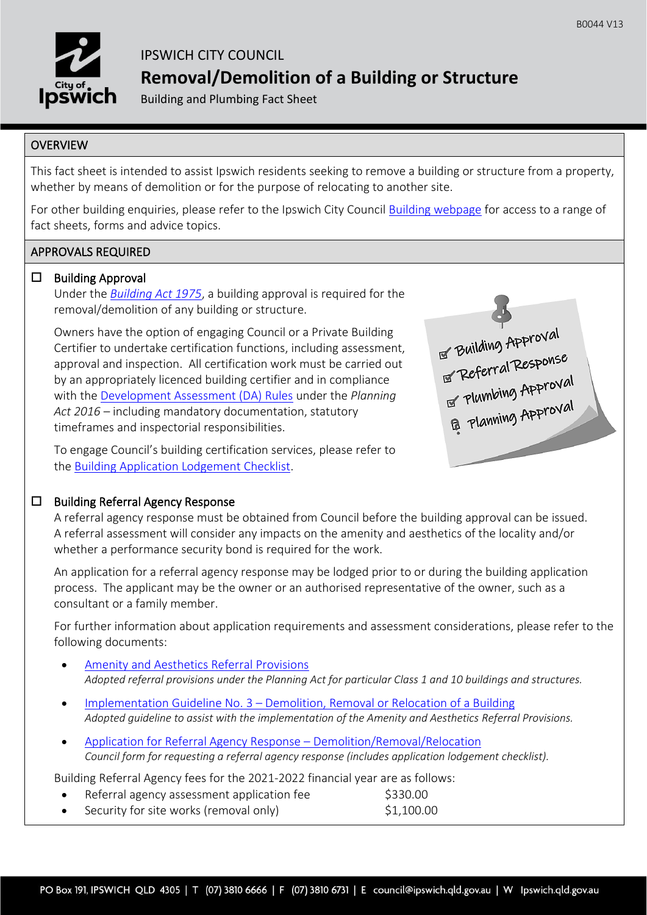

# IPSWICH CITY COUNCIL **Removal/Demolition of a Building or Structure**

Building and Plumbing Fact Sheet

## **OVERVIEW**

 $\overline{a}$ 

This fact sheet is intended to assist Ipswich residents seeking to remove a building or structure from a property, whether by means of demolition or for the purpose of relocating to another site.

For other building enquiries, please refer to the Ipswich City Council [Building webpage](https://www.ipswich.qld.gov.au/services/planning-and-property/building) for access to a range of fact sheets, forms and advice topics.

## APPROVALS REQUIRED

## $\square$  Building Approval

Under the *[Building Act 1975](https://www.legislation.qld.gov.au/view/html/inforce/current/act-1975-011)*, a building approval is required for the removal/demolition of any building or structure.

Owners have the option of engaging Council or a Private Building Certifier to undertake certification functions, including assessment, approval and inspection. All certification work must be carried out by an appropriately licenced building certifier and in compliance with the [Development Assessment \(DA\) Rules](https://planning.dsdmip.qld.gov.au/planning/better-development/da-rules) under the *Planning Act 2016* – including mandatory documentation, statutory timeframes and inspectorial responsibilities.

To engage Council's building certification services, please refer to the [Building Application Lodgement Checklist.](https://www.ipswich.qld.gov.au/__data/assets/pdf_file/0008/28790/af_b0006.pdf)



## $\square$  Building Referral Agency Response

A referral agency response must be obtained from Council before the building approval can be issued. A referral assessment will consider any impacts on the amenity and aesthetics of the locality and/or whether a performance security bond is required for the work.

An application for a referral agency response may be lodged prior to or during the building application process. The applicant may be the owner or an authorised representative of the owner, such as a consultant or a family member.

For further information about application requirements and assessment considerations, please refer to the following documents:

- [Amenity and Aesthetics Referral Provisions](https://www.ipswich.qld.gov.au/__data/assets/pdf_file/0015/120921/af_b0038.pdf) *Adopted referral provisions under the Planning Act for particular Class 1 and 10 buildings and structures.*
- Implementation Guideline No. 3 [Demolition, Removal or Relocation of a Building](https://www.ipswich.qld.gov.au/__data/assets/pdf_file/0018/120924/af_b0041.pdf) *Adopted guideline to assist with the implementation of the Amenity and Aesthetics Referral Provisions.*
- [Application for Referral Agency Response](https://www.ipswich.qld.gov.au/__data/assets/pdf_file/0020/51770/af_b0007.pdf)  Demolition/Removal/Relocation *Council form for requesting a referral agency response (includes application lodgement checklist).*

Building Referral Agency fees for the 2021-2022 financial year are as follows:

- Referral agency assessment application fee  $\lessgtr$  \$330.00
- Security for site works (removal only) \$1,100.00